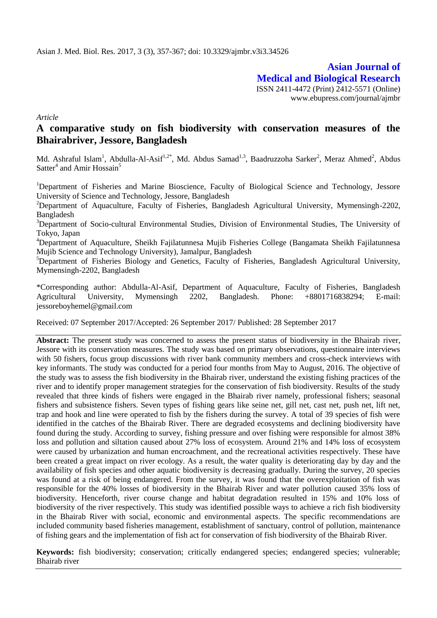**Asian Journal of Medical and Biological Research** ISSN 2411-4472 (Print) 2412-5571 (Online) www.ebupress.com/journal/ajmbr

*Article*

# **A comparative study on fish biodiversity with conservation measures of the Bhairabriver, Jessore, Bangladesh**

Md. Ashraful Islam<sup>1</sup>, Abdulla-Al-Asif<sup>1,2\*</sup>, Md. Abdus Samad<sup>1,3</sup>, Baadruzzoha Sarker<sup>2</sup>, Meraz Ahmed<sup>2</sup>, Abdus Satter<sup>4</sup> and Amir Hossain<sup>5</sup>

<sup>1</sup>Department of Fisheries and Marine Bioscience, Faculty of Biological Science and Technology, Jessore University of Science and Technology, Jessore, Bangladesh

<sup>2</sup>Department of Aquaculture, Faculty of Fisheries, Bangladesh Agricultural University, Mymensingh-2202, Bangladesh

<sup>3</sup>Department of Socio-cultural Environmental Studies, Division of Environmental Studies, The University of Tokyo, Japan

<sup>4</sup>Department of Aquaculture, Sheikh Fajilatunnesa Mujib Fisheries College (Bangamata Sheikh Fajilatunnesa Mujib Science and Technology University), Jamalpur, Bangladesh

<sup>5</sup>Department of Fisheries Biology and Genetics, Faculty of Fisheries, Bangladesh Agricultural University, Mymensingh-2202, Bangladesh

\*Corresponding author: Abdulla-Al-Asif, Department of Aquaculture, Faculty of Fisheries, Bangladesh Agricultural University, Mymensingh 2202, Bangladesh. Phone: +8801716838294; E-mail: jessoreboyhemel@gmail.com

Received: 07 September 2017/Accepted: 26 September 2017/ Published: 28 September 2017

**Abstract:** The present study was concerned to assess the present status of biodiversity in the Bhairab river, Jessore with its conservation measures. The study was based on primary observations, questionnaire interviews with 50 fishers, focus group discussions with river bank community members and cross-check interviews with key informants. The study was conducted for a period four months from May to August, 2016. The objective of the study was to assess the fish biodiversity in the Bhairab river, understand the existing fishing practices of the river and to identify proper management strategies for the conservation of fish biodiversity. Results of the study revealed that three kinds of fishers were engaged in the Bhairab river namely, professional fishers; seasonal fishers and subsistence fishers. Seven types of fishing gears like seine net, gill net, cast net, push net, lift net, trap and hook and line were operated to fish by the fishers during the survey. A total of 39 species of fish were identified in the catches of the Bhairab River. There are degraded ecosystems and declining biodiversity have found during the study. According to survey, fishing pressure and over fishing were responsible for almost 38% loss and pollution and siltation caused about 27% loss of ecosystem. Around 21% and 14% loss of ecosystem were caused by urbanization and human encroachment, and the recreational activities respectively. These have been created a great impact on river ecology. As a result, the water quality is deteriorating day by day and the availability of fish species and other aquatic biodiversity is decreasing gradually. During the survey, 20 species was found at a risk of being endangered. From the survey, it was found that the overexploitation of fish was responsible for the 40% losses of biodiversity in the Bhairab River and water pollution caused 35% loss of biodiversity. Henceforth, river course change and habitat degradation resulted in 15% and 10% loss of biodiversity of the river respectively. This study was identified possible ways to achieve a rich fish biodiversity in the Bhairab River with social, economic and environmental aspects. The specific recommendations are included community based fisheries management, establishment of sanctuary, control of pollution, maintenance of fishing gears and the implementation of fish act for conservation of fish biodiversity of the Bhairab River.

**Keywords:** fish biodiversity; conservation; critically endangered species; endangered species; vulnerable; Bhairab river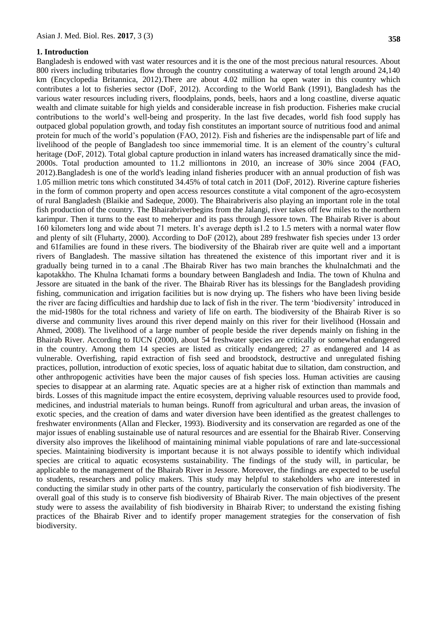#### **1. Introduction**

Bangladesh is endowed with vast water resources and it is the one of the most precious natural resources. About 800 rivers including tributaries flow through the country constituting a waterway of total length around 24,140 km (Encyclopedia Britannica, 2012).There are about 4.02 million ha open water in this country which contributes a lot to fisheries sector (DoF, 2012). According to the World Bank (1991), Bangladesh has the various water resources including rivers, floodplains, ponds, beels, haors and a long coastline, diverse aquatic wealth and climate suitable for high yields and considerable increase in fish production. Fisheries make crucial contributions to the world's well-being and prosperity. In the last five decades, world fish food supply has outpaced global population growth, and today fish constitutes an important source of nutritious food and animal protein for much of the world's population (FAO, 2012). Fish and fisheries are the indispensable part of life and livelihood of the people of Bangladesh too since immemorial time. It is an element of the country's cultural heritage (DoF, 2012). Total global capture production in inland waters has increased dramatically since the mid-2000s. Total production amounted to 11.2 milliontons in 2010, an increase of 30% since 2004 (FAO, 2012).Bangladesh is one of the world's leading inland fisheries producer with an annual production of fish was 1.05 million metric tons which constituted 34.45% of total catch in 2011 (DoF, 2012). Riverine capture fisheries in the form of common property and open access resources constitute a vital component of the agro-ecosystem of rural Bangladesh (Blaikie and Sadeque, 2000). The Bhairabriveris also playing an important role in the total fish production of the country. The Bhairabriverbegins from the Jalangi, river takes off few miles to the northern karimpur. Then it turns to the east to meherpur and its pass through Jessore town. The Bhairab River is about 160 kilometers long and wide about 71 meters. It's average depth is1.2 to 1.5 meters with a normal water flow and plenty of silt (Fluharty, 2000). According to DoF (2012), about 289 freshwater fish species under 13 order and 61families are found in these rivers. The biodiversity of the Bhairab river are quite well and a important rivers of Bangladesh. The massive siltation has threatened the existence of this important river and it is gradually being turned in to a canal .The Bhairab River has two main branches the khulnaIchmati and the kapotakkho. The Khulna Ichamati forms a boundary between Bangladesh and India. The town of Khulna and Jessore are situated in the bank of the river. The Bhairab River has its blessings for the Bangladesh providing fishing, communication and irrigation facilities but is now drying up. The fishers who have been living beside the river are facing difficulties and hardship due to lack of fish in the river. The term 'biodiversity' introduced in the mid-1980s for the total richness and variety of life on earth. The biodiversity of the Bhairab River is so diverse and community lives around this river depend mainly on this river for their livelihood (Hossain and Ahmed, 2008). The livelihood of a large number of people beside the river depends mainly on fishing in the Bhairab River. According to IUCN (2000), about 54 freshwater species are critically or somewhat endangered in the country. Among them 14 species are listed as critically endangered; 27 as endangered and 14 as vulnerable. Overfishing, rapid extraction of fish seed and broodstock, destructive and unregulated fishing practices, pollution, introduction of exotic species, loss of aquatic habitat due to siltation, dam construction, and other anthropogenic activities have been the major causes of fish species loss. Human activities are causing species to disappear at an alarming rate. Aquatic species are at a higher risk of extinction than mammals and birds. Losses of this magnitude impact the entire ecosystem, depriving valuable resources used to provide food, medicines, and industrial materials to human beings. Runoff from agricultural and urban areas, the invasion of exotic species, and the creation of dams and water diversion have been identified as the greatest challenges to freshwater environments (Allan and Flecker, 1993). Biodiversity and its conservation are regarded as one of the major issues of enabling sustainable use of natural resources and are essential for the Bhairab River. Conserving diversity also improves the likelihood of maintaining minimal viable populations of rare and late-successional species. Maintaining biodiversity is important because it is not always possible to identify which individual species are critical to aquatic ecosystems sustainability. The findings of the study will, in particular, be applicable to the management of the Bhairab River in Jessore. Moreover, the findings are expected to be useful to students, researchers and policy makers. This study may helpful to stakeholders who are interested in conducting the similar study in other parts of the country, particularly the conservation of fish biodiversity. The overall goal of this study is to conserve fish biodiversity of Bhairab River. The main objectives of the present study were to assess the availability of fish biodiversity in Bhairab River; to understand the existing fishing practices of the Bhairab River and to identify proper management strategies for the conservation of fish biodiversity.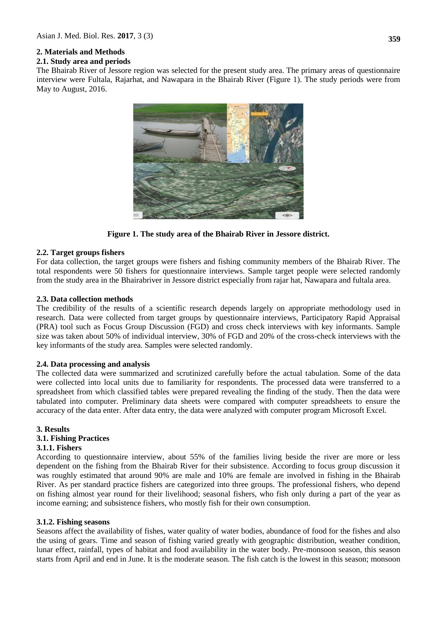# **2. Materials and Methods**

### **2.1. Study area and periods**

The Bhairab River of Jessore region was selected for the present study area. The primary areas of questionnaire interview were Fultala, Rajarhat, and Nawapara in the Bhairab River (Figure 1). The study periods were from May to August, 2016.



**Figure 1. The study area of the Bhairab River in Jessore district.**

### **2.2. Target groups fishers**

For data collection, the target groups were fishers and fishing community members of the Bhairab River. The total respondents were 50 fishers for questionnaire interviews. Sample target people were selected randomly from the study area in the Bhairabriver in Jessore district especially from rajar hat, Nawapara and fultala area.

### **2.3. Data collection methods**

The credibility of the results of a scientific research depends largely on appropriate methodology used in research. Data were collected from target groups by questionnaire interviews, Participatory Rapid Appraisal (PRA) tool such as Focus Group Discussion (FGD) and cross check interviews with key informants. Sample size was taken about 50% of individual interview, 30% of FGD and 20% of the cross-check interviews with the key informants of the study area. Samples were selected randomly.

#### **2.4. Data processing and analysis**

The collected data were summarized and scrutinized carefully before the actual tabulation. Some of the data were collected into local units due to familiarity for respondents. The processed data were transferred to a spreadsheet from which classified tables were prepared revealing the finding of the study. Then the data were tabulated into computer. Preliminary data sheets were compared with computer spreadsheets to ensure the accuracy of the data enter. After data entry, the data were analyzed with computer program Microsoft Excel.

#### **3. Results**

## **3.1. Fishing Practices**

#### **3.1.1. Fishers**

According to questionnaire interview, about 55% of the families living beside the river are more or less dependent on the fishing from the Bhairab River for their subsistence. According to focus group discussion it was roughly estimated that around 90% are male and 10% are female are involved in fishing in the Bhairab River. As per standard practice fishers are categorized into three groups. The professional fishers, who depend on fishing almost year round for their livelihood; seasonal fishers, who fish only during a part of the year as income earning; and subsistence fishers, who mostly fish for their own consumption.

#### **3.1.2. Fishing seasons**

Seasons affect the availability of fishes, water quality of water bodies, abundance of food for the fishes and also the using of gears. Time and season of fishing varied greatly with geographic distribution, weather condition, lunar effect, rainfall, types of habitat and food availability in the water body. Pre-monsoon season, this season starts from April and end in June. It is the moderate season. The fish catch is the lowest in this season; monsoon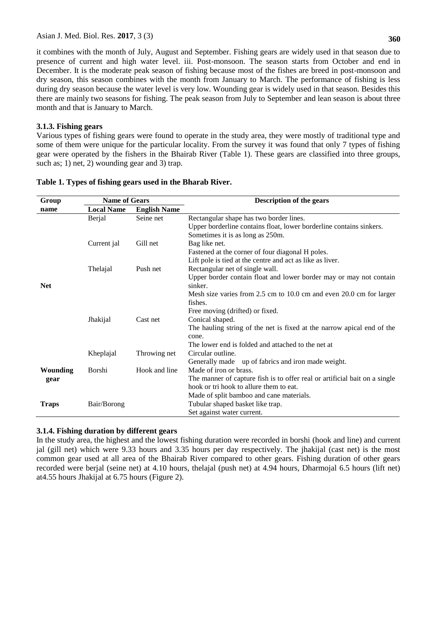it combines with the month of July, August and September. Fishing gears are widely used in that season due to presence of current and high water level. iii. Post-monsoon. The season starts from October and end in December. It is the moderate peak season of fishing because most of the fishes are breed in post-monsoon and dry season, this season combines with the month from January to March. The performance of fishing is less during dry season because the water level is very low. Wounding gear is widely used in that season. Besides this there are mainly two seasons for fishing. The peak season from July to September and lean season is about three month and that is January to March.

# **3.1.3. Fishing gears**

Various types of fishing gears were found to operate in the study area, they were mostly of traditional type and some of them were unique for the particular locality. From the survey it was found that only 7 types of fishing gear were operated by the fishers in the Bhairab River (Table 1). These gears are classified into three groups, such as; 1) net, 2) wounding gear and 3) trap.

| Upper borderline contains float, lower borderline contains sinkers.        |
|----------------------------------------------------------------------------|
|                                                                            |
|                                                                            |
|                                                                            |
|                                                                            |
|                                                                            |
| Upper border contain float and lower border may or may not contain         |
|                                                                            |
| Mesh size varies from 2.5 cm to 10.0 cm and even 20.0 cm for larger        |
|                                                                            |
|                                                                            |
|                                                                            |
| The hauling string of the net is fixed at the narrow apical end of the     |
|                                                                            |
|                                                                            |
| Generally made up of fabrics and iron made weight.                         |
|                                                                            |
| The manner of capture fish is to offer real or artificial bait on a single |
|                                                                            |
|                                                                            |
|                                                                            |
|                                                                            |
|                                                                            |

|  |  |  | Table 1. Types of fishing gears used in the Bharab River. |  |  |  |
|--|--|--|-----------------------------------------------------------|--|--|--|
|--|--|--|-----------------------------------------------------------|--|--|--|

# **3.1.4. Fishing duration by different gears**

In the study area, the highest and the lowest fishing duration were recorded in borshi (hook and line) and current jal (gill net) which were 9.33 hours and 3.35 hours per day respectively. The jhakijal (cast net) is the most common gear used at all area of the Bhairab River compared to other gears. Fishing duration of other gears recorded were berjal (seine net) at 4.10 hours, thelajal (push net) at 4.94 hours, Dharmojal 6.5 hours (lift net) at4.55 hours Jhakijal at 6.75 hours (Figure 2).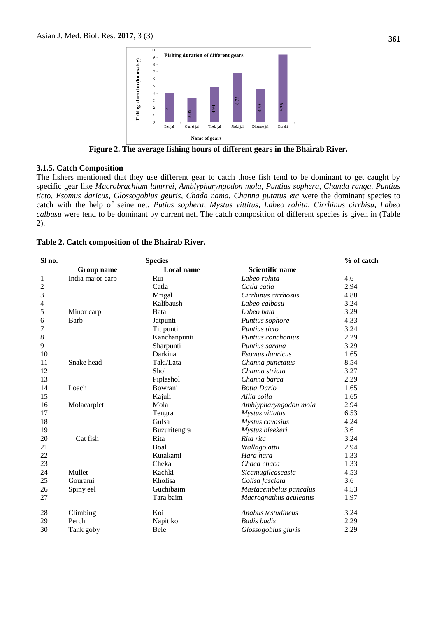

**Figure 2. The average fishing hours of different gears in the Bhairab River.**

### **3.1.5. Catch Composition**

The fishers mentioned that they use different gear to catch those fish tend to be dominant to get caught by specific gear like *Macrobrachium lamrrei, Amblypharyngodon mola, Puntius sophera, Chanda ranga, Puntius ticto, Esomus daricus, Glossogobius geuris, Chada nama, Channa putatus etc* were the dominant species to catch with the help of seine net. *Putius sophera, Mystus vittitus, Labeo rohita, Cirrhinus cirrhisu, Labeo calbasu* were tend to be dominant by current net. The catch composition of different species is given in (Table 2).

|  | Table 2. Catch composition of the Bhairab River. |  |  |
|--|--------------------------------------------------|--|--|
|--|--------------------------------------------------|--|--|

| Sl no.         |                  | <b>Species</b>    |                        | % of catch |
|----------------|------------------|-------------------|------------------------|------------|
|                | Group name       | <b>Local name</b> | <b>Scientific name</b> |            |
| $\mathbf{1}$   | India major carp | Rui               | Labeo rohita           | 4.6        |
| $\overline{c}$ |                  | Catla             | Catla catla            | 2.94       |
| 3              |                  | Mrigal            | Cirrhinus cirrhosus    | 4.88       |
| 4              |                  | Kalibaush         | Labeo calbasu          | 3.24       |
| 5              | Minor carp       | Bata              | Labeo bata             | 3.29       |
| 6              | Barb             | Jatpunti          | Puntius sophore        | 4.33       |
| 7              |                  | Tit punti         | Puntius ticto          | 3.24       |
| 8              |                  | Kanchanpunti      | Puntius conchonius     | 2.29       |
| 9              |                  | Sharpunti         | Puntius sarana         | 3.29       |
| 10             |                  | Darkina           | Esomus danricus        | 1.65       |
| 11             | Snake head       | Taki/Lata         | Channa punctatus       | 8.54       |
| 12             |                  | Shol              | Channa striata         | 3.27       |
| 13             |                  | Piplashol         | Channa barca           | 2.29       |
| 14             | Loach            | Bowrani           | <b>Botia Dario</b>     | 1.65       |
| 15             |                  | Kajuli            | Ailia coila            | 1.65       |
| 16             | Molacarplet      | Mola              | Amblypharyngodon mola  | 2.94       |
| 17             |                  | Tengra            | Mystus vittatus        | 6.53       |
| 18             |                  | Gulsa             | Mystus cavasius        | 4.24       |
| 19             |                  | Buzuritengra      | Mystus bleekeri        | 3.6        |
| 20             | Cat fish         | Rita              | Rita rita              | 3.24       |
| 21             |                  | Boal              | Wallago attu           | 2.94       |
| 22             |                  | Kutakanti         | Hara hara              | 1.33       |
| 23             |                  | Cheka             | Chaca chaca            | 1.33       |
| 24             | Mullet           | Kachki            | Sicamugilcascasia      | 4.53       |
| 25             | Gourami          | Kholisa           | Colisa fasciata        | 3.6        |
| 26             | Spiny eel        | Guchibaim         | Mastacembelus pancalus | 4.53       |
| 27             |                  | Tara baim         | Macrognathus aculeatus | 1.97       |
| 28             | Climbing         | Koi               | Anabus testudineus     | 3.24       |
| 29             | Perch            | Napit koi         | <b>Badis</b> badis     | 2.29       |
| 30             | Tank goby        | Bele              | Glossogobius giuris    | 2.29       |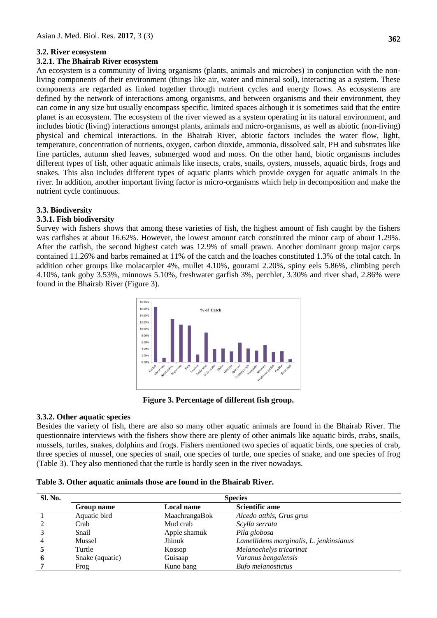# **3.2. River ecosystem**

#### **3.2.1. The Bhairab River ecosystem**

An ecosystem is a community of living organisms (plants, animals and microbes) in conjunction with the nonliving components of their environment (things like air, water and mineral soil), interacting as a system. These components are regarded as linked together through nutrient cycles and energy flows. As ecosystems are defined by the network of interactions among organisms, and between organisms and their environment, they can come in any size but usually encompass specific, limited spaces although it is sometimes said that the entire planet is an ecosystem. The ecosystem of the river viewed as a system operating in its natural environment, and includes biotic (living) interactions amongst plants, animals and micro-organisms, as well as abiotic (non-living) physical and chemical interactions. In the Bhairab River, abiotic factors includes the water flow, light, temperature, concentration of nutrients, oxygen, carbon dioxide, ammonia, dissolved salt, PH and substrates like fine particles, autumn shed leaves, submerged wood and moss. On the other hand, biotic organisms includes different types of fish, other aquatic animals like insects, crabs, snails, oysters, mussels, aquatic birds, frogs and snakes. This also includes different types of aquatic plants which provide oxygen for aquatic animals in the river. In addition, another important living factor is micro-organisms which help in decomposition and make the nutrient cycle continuous.

# **3.3. Biodiversity**

## **3.3.1. Fish biodiversity**

Survey with fishers shows that among these varieties of fish, the highest amount of fish caught by the fishers was catfishes at about 16.62%. However, the lowest amount catch constituted the minor carp of about 1.29%. After the catfish, the second highest catch was 12.9% of small prawn. Another dominant group major carps contained 11.26% and barbs remained at 11% of the catch and the loaches constituted 1.3% of the total catch. In addition other groups like molacarplet 4%, mullet 4.10%, gourami 2.20%, spiny eels 5.86%, climbing perch 4.10%, tank goby 3.53%, minnows 5.10%, freshwater garfish 3%, perchlet, 3.30% and river shad, 2.86% were found in the Bhairab River (Figure 3).



**Figure 3. Percentage of different fish group.**

## **3.3.2. Other aquatic species**

Besides the variety of fish, there are also so many other aquatic animals are found in the Bhairab River. The questionnaire interviews with the fishers show there are plenty of other animals like aquatic birds, crabs, snails, mussels, turtles, snakes, dolphins and frogs. Fishers mentioned two species of aquatic birds, one species of crab, three species of mussel, one species of snail, one species of turtle, one species of snake, and one species of frog (Table 3). They also mentioned that the turtle is hardly seen in the river nowadays.

| <b>Sl. No.</b> | <b>Species</b>  |                   |                                         |  |  |
|----------------|-----------------|-------------------|-----------------------------------------|--|--|
|                | Group name      | <b>Local name</b> | <b>Scientific ame</b>                   |  |  |
|                | Aquatic bird    | MaachrangaBok     | Alcedo atthis, Grus grus                |  |  |
|                | Crab            | Mud crab          | Scylla serrata                          |  |  |
|                | Snail           | Apple shamuk      | Pila globosa                            |  |  |
|                | Mussel          | Jhinuk            | Lamellidens marginalis, L. jenkinsianus |  |  |
|                | Turtle          | Kossop            | Melanochelys tricarinat                 |  |  |
| 6              | Snake (aquatic) | Guisaap           | Varanus bengalensis                     |  |  |
|                | Frog            | Kuno bang         | <b>Bufo</b> melanostictus               |  |  |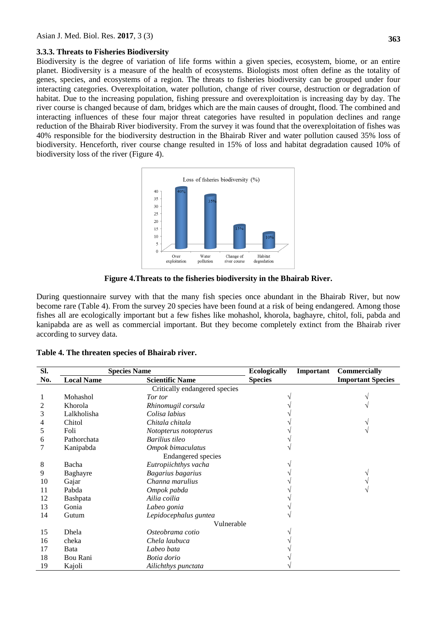### **3.3.3. Threats to Fisheries Biodiversity**

Biodiversity is the degree of variation of life forms within a given species, ecosystem, biome, or an entire planet. Biodiversity is a measure of the health of ecosystems. Biologists most often define as the totality of genes, species, and ecosystems of a region. The threats to fisheries biodiversity can be grouped under four interacting categories. Overexploitation, water pollution, change of river course, destruction or degradation of habitat. Due to the increasing population, fishing pressure and overexploitation is increasing day by day. The river course is changed because of dam, bridges which are the main causes of drought, flood. The combined and interacting influences of these four major threat categories have resulted in population declines and range reduction of the Bhairab River biodiversity. From the survey it was found that the overexploitation of fishes was 40% responsible for the biodiversity destruction in the Bhairab River and water pollution caused 35% loss of biodiversity. Henceforth, river course change resulted in 15% of loss and habitat degradation caused 10% of biodiversity loss of the river (Figure 4).



**Figure 4.Threats to the fisheries biodiversity in the Bhairab River.**

During questionnaire survey with that the many fish species once abundant in the Bhairab River, but now become rare (Table 4). From the survey 20 species have been found at a risk of being endangered. Among those fishes all are ecologically important but a few fishes like mohashol, khorola, baghayre, chitol, foli, pabda and kanipabda are as well as commercial important. But they become completely extinct from the Bhairab river according to survey data.

|  | Table 4. The threaten species of Bhairab river. |  |  |  |
|--|-------------------------------------------------|--|--|--|
|--|-------------------------------------------------|--|--|--|

| SI. | <b>Species Name</b> |                               | <b>Ecologically</b> | Important | <b>Commercially</b>      |
|-----|---------------------|-------------------------------|---------------------|-----------|--------------------------|
| No. | <b>Local Name</b>   | <b>Scientific Name</b>        | <b>Species</b>      |           | <b>Important Species</b> |
|     |                     | Critically endangered species |                     |           |                          |
|     | Mohashol            | Tor tor                       |                     |           |                          |
| 2   | Khorola             | Rhinomugil corsula            |                     |           |                          |
| 3   | Lalkholisha         | Colisa labius                 |                     |           |                          |
| 4   | Chitol              | Chitala chitala               |                     |           |                          |
| 5   | Foli                | Notopterus notopterus         |                     |           |                          |
| 6   | Pathorchata         | Barilius tileo                |                     |           |                          |
|     | Kanipabda           | Ompok bimaculatus             |                     |           |                          |
|     |                     | <b>Endangered</b> species     |                     |           |                          |
| 8   | Bacha               | Eutropiichthys vacha          |                     |           |                          |
| 9   | Baghayre            | Bagarius bagarius             |                     |           |                          |
| 10  | Gajar               | Channa marulius               |                     |           |                          |
| 11  | Pabda               | Ompok pabda                   |                     |           |                          |
| 12  | Bashpata            | Ailia coilia                  |                     |           |                          |
| 13  | Gonia               | Labeo gonia                   |                     |           |                          |
| 14  | Gutum               | Lepidocephalus guntea         |                     |           |                          |
|     | Vulnerable          |                               |                     |           |                          |
| 15  | Dhela               | Osteobrama cotio              |                     |           |                          |
| 16  | cheka               | Chela laubuca                 |                     |           |                          |
| 17  | Bata                | Labeo bata                    |                     |           |                          |
| 18  | Bou Rani            | Botia dorio                   |                     |           |                          |
| 19  | Kajoli              | Ailichthys punctata           |                     |           |                          |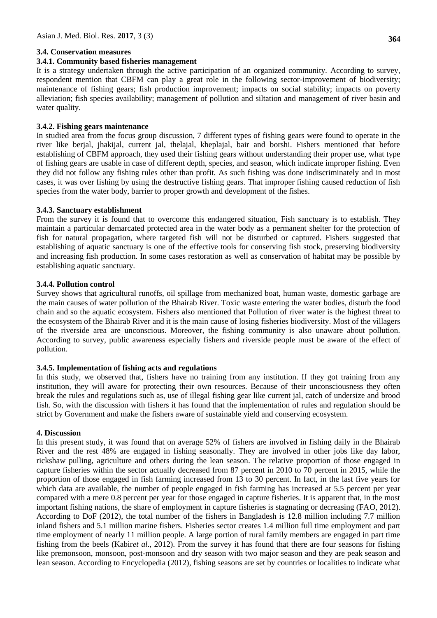# **3.4. Conservation measures**

## **3.4.1. Community based fisheries management**

It is a strategy undertaken through the active participation of an organized community. According to survey, respondent mention that CBFM can play a great role in the following sector-improvement of biodiversity; maintenance of fishing gears; fish production improvement; impacts on social stability; impacts on poverty alleviation; fish species availability; management of pollution and siltation and management of river basin and water quality.

# **3.4.2. Fishing gears maintenance**

In studied area from the focus group discussion, 7 different types of fishing gears were found to operate in the river like berjal, jhakijal, current jal, thelajal, kheplajal, bair and borshi. Fishers mentioned that before establishing of CBFM approach, they used their fishing gears without understanding their proper use, what type of fishing gears are usable in case of different depth, species, and season, which indicate improper fishing. Even they did not follow any fishing rules other than profit. As such fishing was done indiscriminately and in most cases, it was over fishing by using the destructive fishing gears. That improper fishing caused reduction of fish species from the water body, barrier to proper growth and development of the fishes.

# **3.4.3. Sanctuary establishment**

From the survey it is found that to overcome this endangered situation, Fish sanctuary is to establish. They maintain a particular demarcated protected area in the water body as a permanent shelter for the protection of fish for natural propagation, where targeted fish will not be disturbed or captured. Fishers suggested that establishing of aquatic sanctuary is one of the effective tools for conserving fish stock, preserving biodiversity and increasing fish production. In some cases restoration as well as conservation of habitat may be possible by establishing aquatic sanctuary.

# **3.4.4. Pollution control**

Survey shows that agricultural runoffs, oil spillage from mechanized boat, human waste, domestic garbage are the main causes of water pollution of the Bhairab River. Toxic waste entering the water bodies, disturb the food chain and so the aquatic ecosystem. Fishers also mentioned that Pollution of river water is the highest threat to the ecosystem of the Bhairab River and it is the main cause of losing fisheries biodiversity. Most of the villagers of the riverside area are unconscious. Moreover, the fishing community is also unaware about pollution. According to survey, public awareness especially fishers and riverside people must be aware of the effect of pollution.

## **3.4.5. Implementation of fishing acts and regulations**

In this study, we observed that, fishers have no training from any institution. If they got training from any institution, they will aware for protecting their own resources. Because of their unconsciousness they often break the rules and regulations such as, use of illegal fishing gear like current jal, catch of undersize and brood fish. So, with the discussion with fishers it has found that the implementation of rules and regulation should be strict by Government and make the fishers aware of sustainable yield and conserving ecosystem.

## **4. Discussion**

In this present study, it was found that on average 52% of fishers are involved in fishing daily in the Bhairab River and the rest 48% are engaged in fishing seasonally. They are involved in other jobs like day labor, rickshaw pulling, agriculture and others during the lean season. The relative proportion of those engaged in capture fisheries within the sector actually decreased from 87 percent in 2010 to 70 percent in 2015, while the proportion of those engaged in fish farming increased from 13 to 30 percent. In fact, in the last five years for which data are available, the number of people engaged in fish farming has increased at 5.5 percent per year compared with a mere 0.8 percent per year for those engaged in capture fisheries. It is apparent that, in the most important fishing nations, the share of employment in capture fisheries is stagnating or decreasing (FAO, 2012). According to DoF (2012), the total number of the fishers in Bangladesh is 12.8 million including 7.7 million inland fishers and 5.1 million marine fishers. Fisheries sector creates 1.4 million full time employment and part time employment of nearly 11 million people. A large portion of rural family members are engaged in part time fishing from the beels (Kabir*et al*., 2012). From the survey it has found that there are four seasons for fishing like premonsoon, monsoon, post-monsoon and dry season with two major season and they are peak season and lean season. According to Encyclopedia (2012), fishing seasons are set by countries or localities to indicate what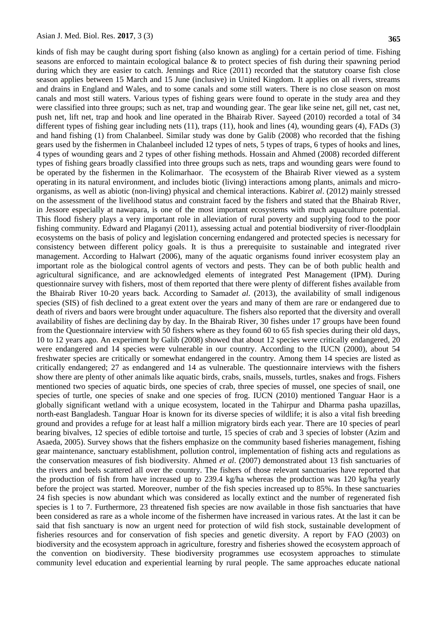kinds of fish may be caught during sport fishing (also known as angling) for a certain period of time. Fishing seasons are enforced to maintain ecological balance & to protect species of fish during their spawning period during which they are easier to catch. Jennings and Rice (2011) recorded that the statutory coarse fish close season applies between 15 March and 15 June (inclusive) in United Kingdom. It applies on all rivers, streams and drains in England and Wales, and to some canals and some still waters. There is no close season on most canals and most still waters. Various types of fishing gears were found to operate in the study area and they were classified into three groups; such as net, trap and wounding gear. The gear like seine net, gill net, cast net, push net, lift net, trap and hook and line operated in the Bhairab River. Sayeed (2010) recorded a total of 34 different types of fishing gear including nets (11), traps (11), hook and lines (4), wounding gears (4), FADs (3) and hand fishing (1) from Chalanbeel. Similar study was done by Galib (2008) who recorded that the fishing gears used by the fishermen in Chalanbeel included 12 types of nets, 5 types of traps, 6 types of hooks and lines, 4 types of wounding gears and 2 types of other fishing methods. Hossain and Ahmed (2008) recorded different types of fishing gears broadly classified into three groups such as nets, traps and wounding gears were found to be operated by the fishermen in the Kolimarhaor. The ecosystem of the Bhairab River viewed as a system operating in its natural environment, and includes biotic (living) interactions among plants, animals and microorganisms, as well as abiotic (non-living) physical and chemical interactions. Kabir*et al*. (2012) mainly stressed on the assessment of the livelihood status and constraint faced by the fishers and stated that the Bhairab River, in Jessore especially at nawapara, is one of the most important ecosystems with much aquaculture potential. This flood fishery plays a very important role in alleviation of rural poverty and supplying food to the poor fishing community. Edward and Plaganyi (2011), assessing actual and potential biodiversity of river-floodplain ecosystems on the basis of policy and legislation concerning endangered and protected species is necessary for consistency between different policy goals. It is thus a prerequisite to sustainable and integrated river management. According to Halwart (2006), many of the aquatic organisms found inriver ecosystem play an important role as the biological control agents of vectors and pests. They can be of both public health and agricultural significance, and are acknowledged elements of integrated Pest Management (IPM). During questionnaire survey with fishers, most of them reported that there were plenty of different fishes available from the Bhairab River 10-20 years back. According to Samad*et al.* (2013), the availability of small indigenous species (SIS) of fish declined to a great extent over the years and many of them are rare or endangered due to death of rivers and baors were brought under aquaculture. The fishers also reported that the diversity and overall availability of fishes are declining day by day. In the Bhairab River, 30 fishes under 17 groups have been found from the Questionnaire interview with 50 fishers where as they found 60 to 65 fish species during their old days, 10 to 12 years ago. An experiment by Galib (2008) showed that about 12 species were critically endangered, 20 were endangered and 14 species were vulnerable in our country. According to the IUCN (2000), about 54 freshwater species are critically or somewhat endangered in the country. Among them 14 species are listed as critically endangered; 27 as endangered and 14 as vulnerable. The questionnaire interviews with the fishers show there are plenty of other animals like aquatic birds, crabs, snails, mussels, turtles, snakes and frogs. Fishers mentioned two species of aquatic birds, one species of crab, three species of mussel, one species of snail, one species of turtle, one species of snake and one species of frog. IUCN (2010) mentioned Tanguar Haor is a globally significant wetland with a unique ecosystem, located in the Tahirpur and Dharma pasha upazillas, north-east Bangladesh. Tanguar Hoar is known for its diverse species of wildlife; it is also a vital fish breeding ground and provides a refuge for at least half a million migratory birds each year. There are 10 species of pearl bearing bivalves, 12 species of edible tortoise and turtle, 15 species of crab and 3 species of lobster (Azim and Asaeda, 2005). Survey shows that the fishers emphasize on the community based fisheries management, fishing gear maintenance, sanctuary establishment, pollution control, implementation of fishing acts and regulations as the conservation measures of fish biodiversity. Ahmed *et al*. (2007) demonstrated about 13 fish sanctuaries of the rivers and beels scattered all over the country. The fishers of those relevant sanctuaries have reported that the production of fish from have increased up to 239.4 kg/ha whereas the production was 120 kg/ha yearly before the project was started. Moreover, number of the fish species increased up to 85%. In these sanctuaries 24 fish species is now abundant which was considered as locally extinct and the number of regenerated fish species is 1 to 7. Furthermore, 23 threatened fish species are now available in those fish sanctuaries that have been considered as rare as a whole income of the fishermen have increased in various rates. At the last it can be said that fish sanctuary is now an urgent need for protection of wild fish stock, sustainable development of fisheries resources and for conservation of fish species and genetic diversity. A report by FAO (2003) on biodiversity and the ecosystem approach in agriculture, forestry and fisheries showed the ecosystem approach of the convention on biodiversity. These biodiversity programmes use ecosystem approaches to stimulate community level education and experiential learning by rural people. The same approaches educate national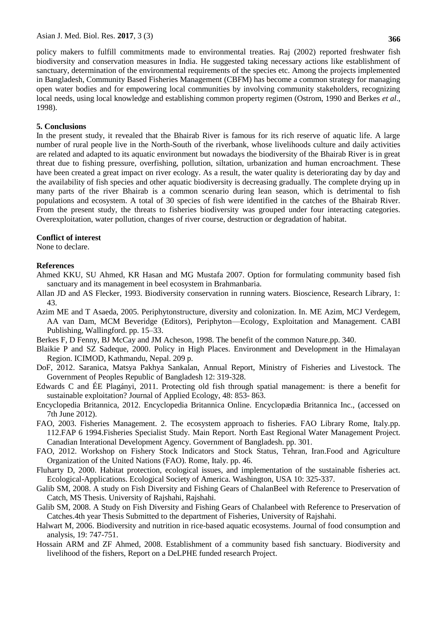policy makers to fulfill commitments made to environmental treaties. Raj (2002) reported freshwater fish biodiversity and conservation measures in India. He suggested taking necessary actions like establishment of sanctuary, determination of the environmental requirements of the species etc. Among the projects implemented in Bangladesh, Community Based Fisheries Management (CBFM) has become a common strategy for managing open water bodies and for empowering local communities by involving community stakeholders, recognizing local needs, using local knowledge and establishing common property regimen (Ostrom, 1990 and Berkes *et al*., 1998).

# **5. Conclusions**

In the present study, it revealed that the Bhairab River is famous for its rich reserve of aquatic life. A large number of rural people live in the North-South of the riverbank, whose livelihoods culture and daily activities are related and adapted to its aquatic environment but nowadays the biodiversity of the Bhairab River is in great threat due to fishing pressure, overfishing, pollution, siltation, urbanization and human encroachment. These have been created a great impact on river ecology. As a result, the water quality is deteriorating day by day and the availability of fish species and other aquatic biodiversity is decreasing gradually. The complete drying up in many parts of the river Bhairab is a common scenario during lean season, which is detrimental to fish populations and ecosystem. A total of 30 species of fish were identified in the catches of the Bhairab River. From the present study, the threats to fisheries biodiversity was grouped under four interacting categories. Overexploitation, water pollution, changes of river course, destruction or degradation of habitat.

# **Conflict of interest**

None to declare.

# **References**

- Ahmed KKU, SU Ahmed, KR Hasan and MG Mustafa 2007. Option for formulating community based fish sanctuary and its management in beel ecosystem in Brahmanbaria.
- Allan JD and AS Flecker, 1993. Biodiversity conservation in running waters. Bioscience, Research Library, 1: 43.
- Azim ME and T Asaeda, 2005. Periphytonstructure, diversity and colonization. In. ME Azim, MCJ Verdegem, AA van Dam, MCM Beveridge (Editors), Periphyton—Ecology, Exploitation and Management. CABI Publishing, Wallingford. pp. 15–33.
- Berkes F, D Fenny, BJ McCay and JM Acheson, 1998. The benefit of the common Nature.pp. 340.
- Blaikie P and SZ Sadeque, 2000. Policy in High Places. Environment and Development in the Himalayan Region. ICIMOD, Kathmandu, Nepal. 209 p.
- DoF, 2012. Saranica, Matsya Pakhya Sankalan, Annual Report, Ministry of Fisheries and Livestock. The Government of Peoples Republic of Bangladesh 12: 319-328.
- Edwards C and ÉE Plagányi, 2011. Protecting old fish through spatial management: is there a benefit for sustainable exploitation? Journal of Applied Ecology, 48: 853- 863.
- Encyclopedia Britannica, 2012. Encyclopedia Britannica Online. Encyclopædia Britannica Inc., (accessed on 7th June 2012).
- FAO, 2003. Fisheries Management. 2. The ecosystem approach to fisheries. FAO Library Rome, Italy.pp. 112.FAP 6 1994.Fisheries Specialist Study. Main Report. North East Regional Water Management Project. Canadian Interational Development Agency. Government of Bangladesh. pp. 301.
- FAO, 2012. Workshop on Fishery Stock Indicators and Stock Status, Tehran, Iran.Food and Agriculture Organization of the United Nations (FAO). Rome, Italy. pp. 46.
- Fluharty D, 2000. Habitat protection, ecological issues, and implementation of the sustainable fisheries act. Ecological-Applications. Ecological Society of America. Washington, USA 10: 325-337.
- Galib SM, 2008. A study on Fish Diversity and Fishing Gears of ChalanBeel with Reference to Preservation of Catch, MS Thesis. University of Rajshahi, Rajshahi.
- Galib SM, 2008. A Study on Fish Diversity and Fishing Gears of Chalanbeel with Reference to Preservation of Catches.4th year Thesis Submitted to the department of Fisheries, University of Rajshahi.
- Halwart M, 2006. Biodiversity and nutrition in rice-based aquatic ecosystems. Journal of food consumption and analysis, 19: 747-751.
- Hossain ARM and ZF Ahmed, 2008. Establishment of a community based fish sanctuary. Biodiversity and livelihood of the fishers, Report on a DeLPHE funded research Project.